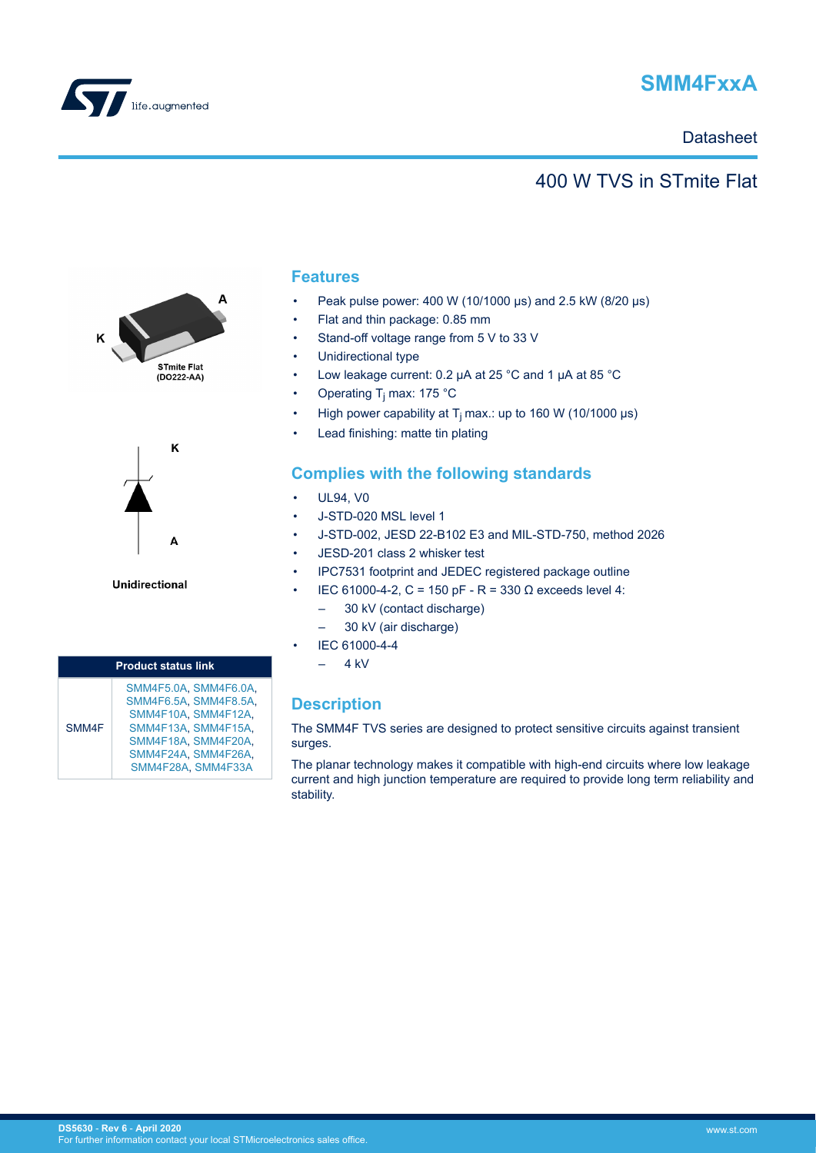<span id="page-0-0"></span>

# **SMM4FxxA**

### **Datasheet**

## 400 W TVS in STmite Flat





**Unidirectional** 

| <b>Product status link</b> |                                                                                                                                                                 |  |  |  |  |  |  |
|----------------------------|-----------------------------------------------------------------------------------------------------------------------------------------------------------------|--|--|--|--|--|--|
| SMM4F                      | SMM4F5.0A, SMM4F6.0A,<br>SMM4F6.5A, SMM4F8.5A,<br>SMM4F10A, SMM4F12A,<br>SMM4F13A SMM4F15A.<br>SMM4F18A, SMM4F20A,<br>SMM4F24A, SMM4F26A,<br>SMM4F28A, SMM4F33A |  |  |  |  |  |  |

### **Features**

- Peak pulse power: 400 W (10/1000 μs) and 2.5 kW (8/20 μs)
- Flat and thin package: 0.85 mm
- Stand-off voltage range from 5 V to 33 V
- Unidirectional type
- Low leakage current: 0.2 μA at 25 °C and 1 μA at 85 °C
- Operating T<sub>j</sub> max: 175 °C
- High power capability at  $T_i$  max.: up to 160 W (10/1000 µs)
- Lead finishing: matte tin plating

### **Complies with the following standards**

- UL94, V0
- J-STD-020 MSL level 1
- J-STD-002, JESD 22-B102 E3 and MIL-STD-750, method 2026
- JESD-201 class 2 whisker test
- IPC7531 footprint and JEDEC registered package outline
- IEC 61000-4-2, C = 150 pF R = 330 Ω exceeds level 4:
	- 30 kV (contact discharge)
	- 30 kV (air discharge)
	- IEC 61000-4-4
	- $-4$  kV

## **Description**

The SMM4F TVS series are designed to protect sensitive circuits against transient surges.

The planar technology makes it compatible with high-end circuits where low leakage current and high junction temperature are required to provide long term reliability and stability.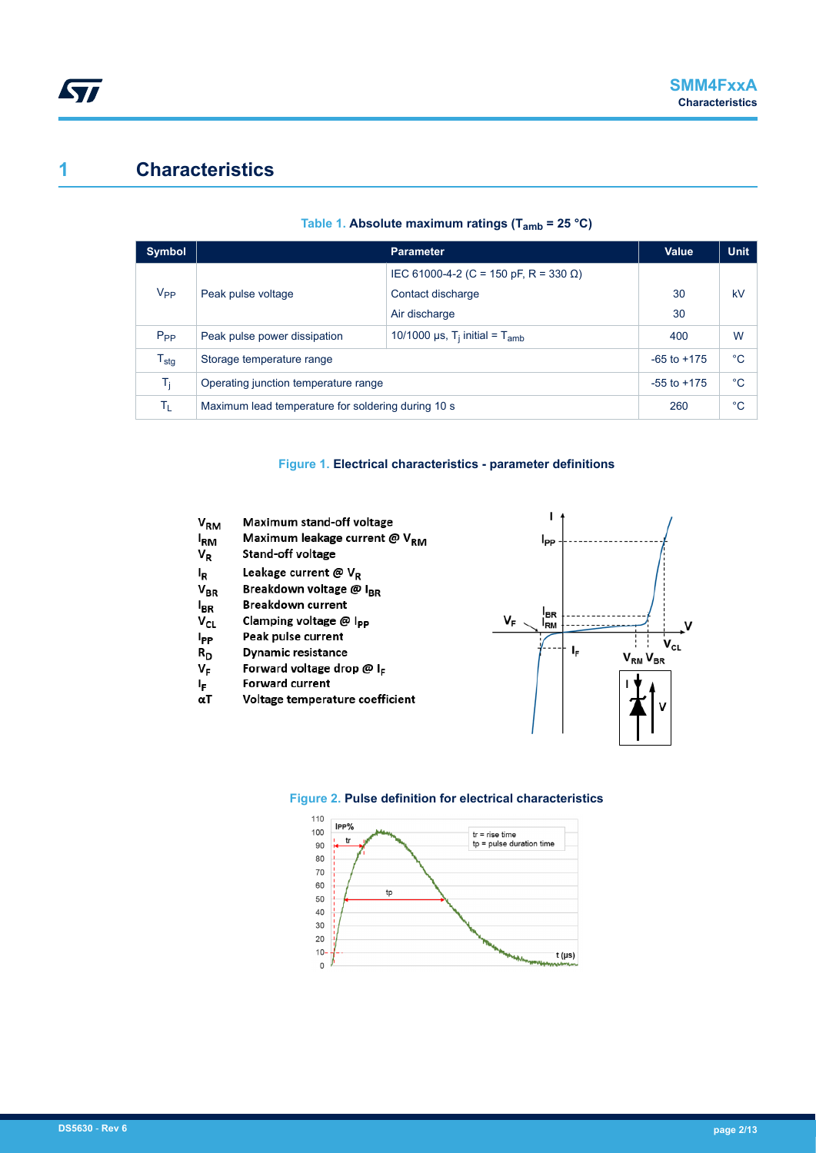## <span id="page-1-0"></span>**1 Characteristics**

| <b>Symbol</b>    |                                                    | <b>Parameter</b>                                           | Value       | <b>Unit</b> |
|------------------|----------------------------------------------------|------------------------------------------------------------|-------------|-------------|
|                  |                                                    | IEC 61000-4-2 (C = 150 pF, R = 330 Ω)                      |             |             |
| V <sub>PP</sub>  | Peak pulse voltage                                 | Contact discharge                                          | 30          | kV          |
|                  |                                                    | Air discharge                                              | 30          |             |
| $P_{PP}$         | Peak pulse power dissipation                       | 10/1000 $\mu$ s, T <sub>i</sub> initial = T <sub>amb</sub> | 400         | W           |
| $T_{\text{stg}}$ | Storage temperature range                          | $-65$ to $+175$                                            | $^{\circ}C$ |             |
| Tĩ.              | Operating junction temperature range               | $-55$ to $+175$                                            | $^{\circ}C$ |             |
| Τī.              | Maximum lead temperature for soldering during 10 s | 260                                                        | $^{\circ}C$ |             |

#### **Table 1. Absolute maximum ratings (Tamb = 25 °C)**

#### **Figure 1. Electrical characteristics - parameter definitions**

| V <sub>RM</sub> | <b>Maximum stand-off voltage</b>      |
|-----------------|---------------------------------------|
| <sup>I</sup> RM | Maximum leakage current @ $V_{RM}$    |
| VR              | <b>Stand-off voltage</b>              |
| ı,              | Leakage current @ $V_R$               |
| $V_{BR}$        | Breakdown voltage @ I <sub>BR</sub>   |
| <sup>I</sup> BR | <b>Breakdown current</b>              |
| V <sub>CL</sub> | Clamping voltage @ I <sub>PP</sub>    |
| I <sub>PP</sub> | Peak pulse current                    |
| R <sub>D</sub>  | <b>Dynamic resistance</b>             |
| VF              | Forward voltage drop @ I <sub>F</sub> |
| ΙF              | Forward current                       |
| αΤ              | Voltage temperature coefficient       |
|                 |                                       |





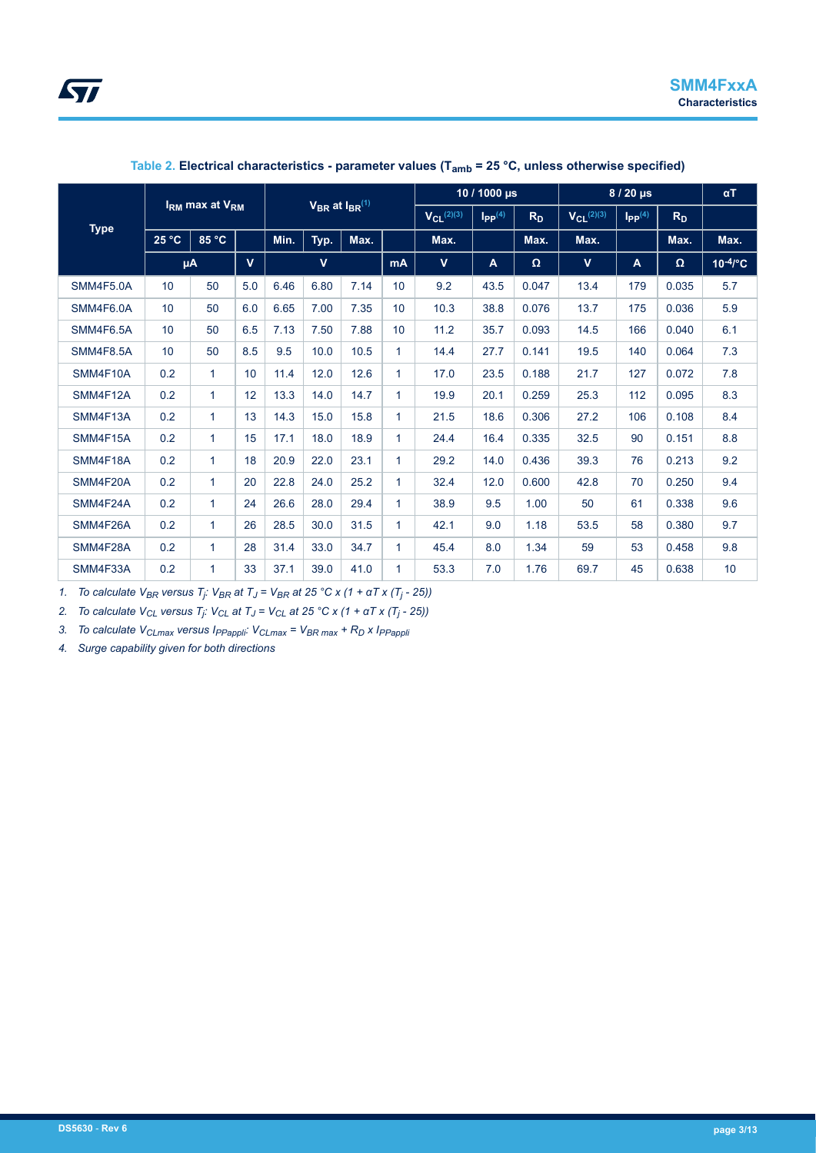

| <b>IRM max at VRM</b> |                 |              | $V_{BR}$ at $I_{BR}^{(1)}$ |      |             | 10 / 1000 $\mu$ s |                   | $8/20 \mu s$                     |                |                   | $\alpha T$                     |                |          |               |
|-----------------------|-----------------|--------------|----------------------------|------|-------------|-------------------|-------------------|----------------------------------|----------------|-------------------|--------------------------------|----------------|----------|---------------|
|                       |                 |              |                            |      |             |                   | $V_{Cl}^{(2)(3)}$ | $\mathsf{I}_{\mathsf{PP}}^{(4)}$ | R <sub>D</sub> | $V_{CL}^{(2)(3)}$ | $\mathbf{I}_{\text{PP}}^{(4)}$ | R <sub>D</sub> |          |               |
| <b>Type</b>           | 25 °C           | 85 °C        |                            | Min. | Typ.        | Max.              |                   | Max.                             |                | Max.              | Max.                           |                | Max.     | Max.          |
|                       |                 | μA           | $\mathbf{V}$               |      | $\mathbf v$ |                   | <b>mA</b>         | $\mathbf{V}$                     | A              | Ω                 | $\mathbf{V}$                   | A              | $\Omega$ | $10^{-4}$ /°C |
| SMM4F5.0A             | 10              | 50           | 5.0                        | 6.46 | 6.80        | 7.14              | 10                | 9.2                              | 43.5           | 0.047             | 13.4                           | 179            | 0.035    | 5.7           |
| SMM4F6.0A             | 10 <sup>1</sup> | 50           | 6.0                        | 6.65 | 7.00        | 7.35              | 10                | 10.3                             | 38.8           | 0.076             | 13.7                           | 175            | 0.036    | 5.9           |
| SMM4F6.5A             | 10              | 50           | 6.5                        | 7.13 | 7.50        | 7.88              | 10                | 11.2                             | 35.7           | 0.093             | 14.5                           | 166            | 0.040    | 6.1           |
| <b>SMM4F8.5A</b>      | 10              | 50           | 8.5                        | 9.5  | 10.0        | 10.5              | 1                 | 14.4                             | 27.7           | 0.141             | 19.5                           | 140            | 0.064    | 7.3           |
| SMM4F10A              | 0.2             | $\mathbf{1}$ | 10                         | 11.4 | 12.0        | 12.6              | $\mathbf{1}$      | 17.0                             | 23.5           | 0.188             | 21.7                           | 127            | 0.072    | 7.8           |
| SMM4F12A              | 0.2             | $\mathbf{1}$ | 12                         | 13.3 | 14.0        | 14.7              | $\mathbf{1}$      | 19.9                             | 20.1           | 0.259             | 25.3                           | 112            | 0.095    | 8.3           |
| SMM4F13A              | 0.2             | $\mathbf{1}$ | 13                         | 14.3 | 15.0        | 15.8              | $\mathbf{1}$      | 21.5                             | 18.6           | 0.306             | 27.2                           | 106            | 0.108    | 8.4           |
| SMM4F15A              | 0.2             | $\mathbf{1}$ | 15                         | 17.1 | 18.0        | 18.9              | $\mathbf{1}$      | 24.4                             | 16.4           | 0.335             | 32.5                           | 90             | 0.151    | 8.8           |
| SMM4F18A              | 0.2             | $\mathbf{1}$ | 18                         | 20.9 | 22.0        | 23.1              | $\mathbf{1}$      | 29.2                             | 14.0           | 0.436             | 39.3                           | 76             | 0.213    | 9.2           |
| SMM4F20A              | 0.2             | $\mathbf{1}$ | 20                         | 22.8 | 24.0        | 25.2              | $\mathbf{1}$      | 32.4                             | 12.0           | 0.600             | 42.8                           | 70             | 0.250    | 9.4           |
| SMM4F24A              | 0.2             | $\mathbf{1}$ | 24                         | 26.6 | 28.0        | 29.4              | $\mathbf{1}$      | 38.9                             | 9.5            | 1.00              | 50                             | 61             | 0.338    | 9.6           |
| SMM4F26A              | 0.2             | $\mathbf{1}$ | 26                         | 28.5 | 30.0        | 31.5              | $\mathbf{1}$      | 42.1                             | 9.0            | 1.18              | 53.5                           | 58             | 0.380    | 9.7           |
| SMM4F28A              | 0.2             | $\mathbf{1}$ | 28                         | 31.4 | 33.0        | 34.7              | 1                 | 45.4                             | 8.0            | 1.34              | 59                             | 53             | 0.458    | 9.8           |
| SMM4F33A              | 0.2             | 1            | 33                         | 37.1 | 39.0        | 41.0              | 1                 | 53.3                             | 7.0            | 1.76              | 69.7                           | 45             | 0.638    | 10            |

#### **Table 2. Electrical characteristics - parameter values (Tamb = 25 °C, unless otherwise specified)**

*1. To calculate VBR versus T<sup>j</sup> : VBR at T<sup>J</sup> = VBR at 25 °C x (1 + αT x (T<sup>j</sup> - 25))*

*2. To calculate VCL versus T<sup>j</sup> : VCL at T<sup>J</sup> = VCL at 25 °C x (1 + αT x (T<sup>j</sup> - 25))*

*3. To calculate VCLmax versus IPPappli: VCLmax = VBR max + RD x IPPappli*

*4. Surge capability given for both directions*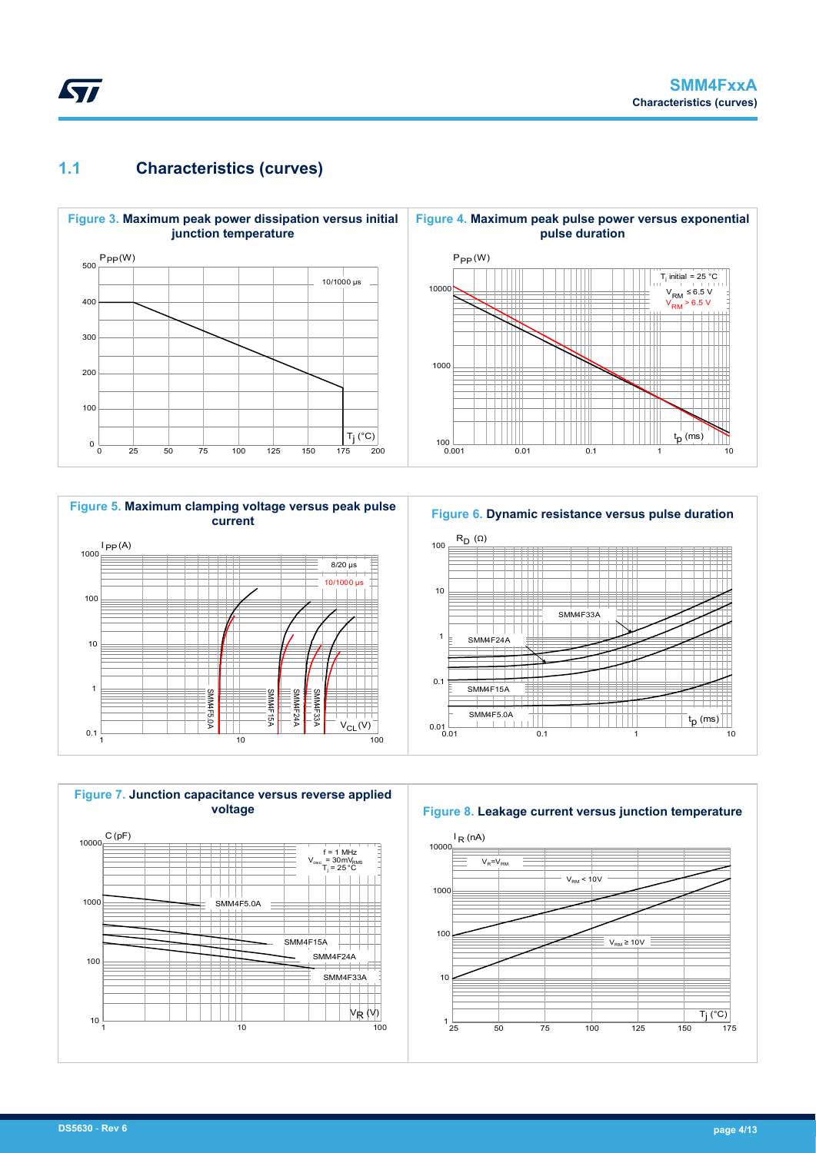### **1.1 Characteristics (curves)**

<span id="page-3-0"></span>**STI** 









**Figure 8. Leakage current versus junction temperature**

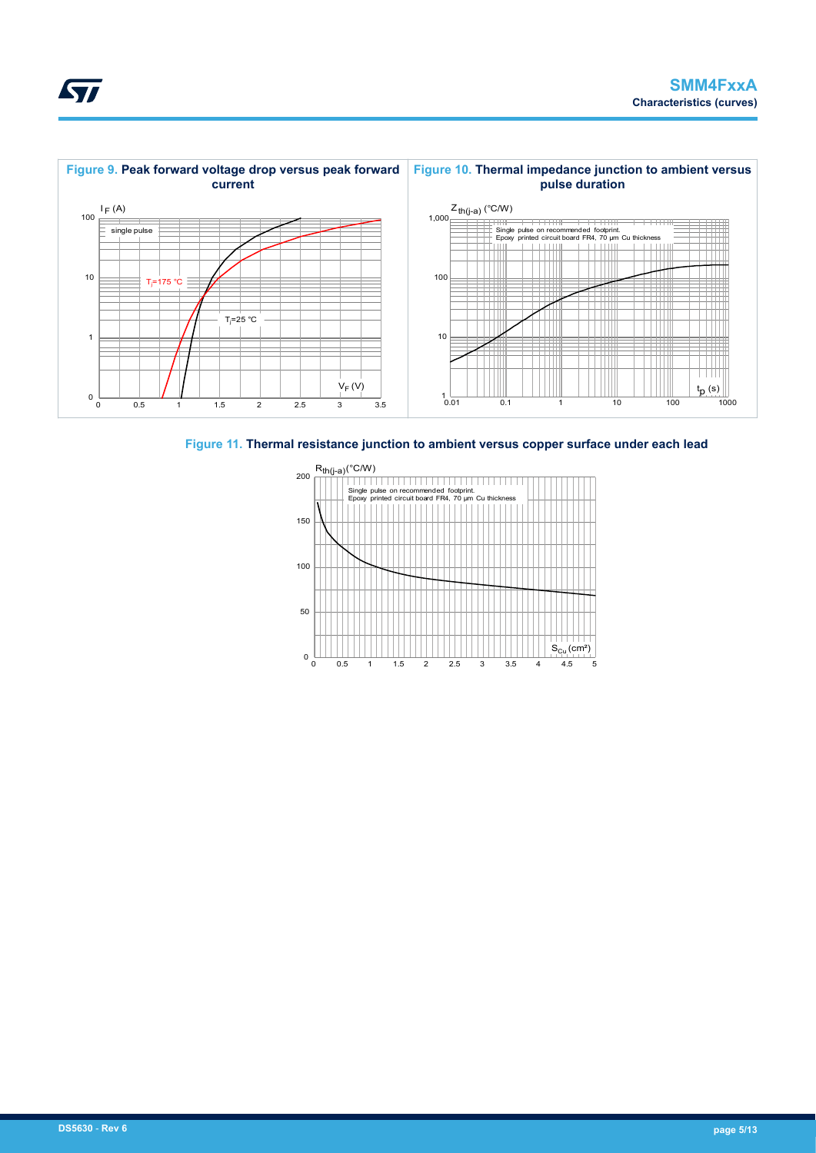

**Figure 11. Thermal resistance junction to ambient versus copper surface under each lead**



<span id="page-4-0"></span>**STI**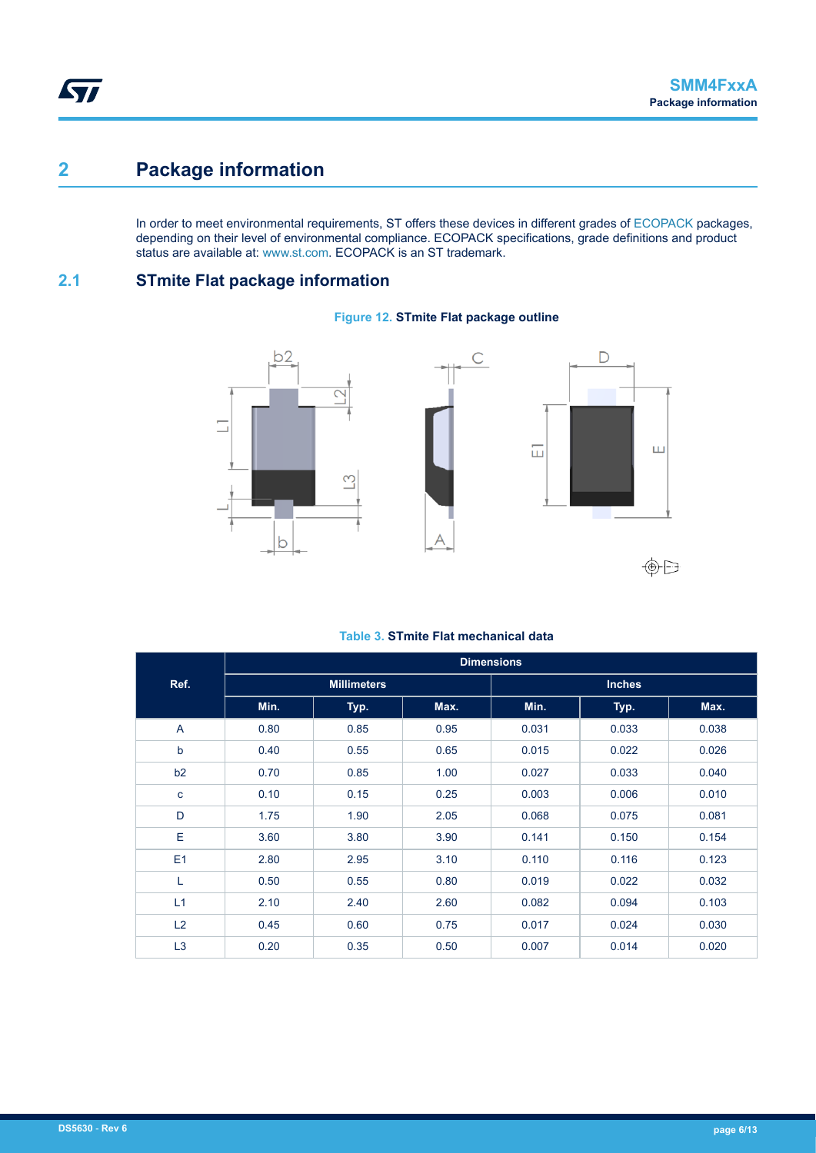# **2 Package information**

In order to meet environmental requirements, ST offers these devices in different grades of [ECOPACK](https://www.st.com/ecopack) packages, depending on their level of environmental compliance. ECOPACK specifications, grade definitions and product status are available at: [www.st.com.](http://www.st.com) ECOPACK is an ST trademark.

### **2.1 STmite Flat package information**

#### **Figure 12. STmite Flat package outline**



#### **Table 3. STmite Flat mechanical data**

|                | <b>Dimensions</b> |                    |      |               |       |       |  |  |  |
|----------------|-------------------|--------------------|------|---------------|-------|-------|--|--|--|
| Ref.           |                   | <b>Millimeters</b> |      | <b>Inches</b> |       |       |  |  |  |
|                | Min.              | Typ.               | Max. | Min.          | Typ.  | Max.  |  |  |  |
| $\overline{A}$ | 0.80              | 0.85               | 0.95 | 0.031         | 0.033 | 0.038 |  |  |  |
| b              | 0.40              | 0.55               | 0.65 | 0.015         | 0.022 | 0.026 |  |  |  |
| b2             | 0.70              | 0.85               | 1.00 | 0.027         | 0.033 | 0.040 |  |  |  |
| $\mathbf c$    | 0.10              | 0.15               | 0.25 | 0.003         | 0.006 | 0.010 |  |  |  |
| D              | 1.75              | 1.90               | 2.05 | 0.068         | 0.075 | 0.081 |  |  |  |
| E              | 3.60              | 3.80               | 3.90 | 0.141         | 0.150 | 0.154 |  |  |  |
| E1             | 2.80              | 2.95               | 3.10 | 0.110         | 0.116 | 0.123 |  |  |  |
| L              | 0.50              | 0.55               | 0.80 | 0.019         | 0.022 | 0.032 |  |  |  |
| L1             | 2.10              | 2.40               | 2.60 | 0.082         | 0.094 | 0.103 |  |  |  |
| L2             | 0.45              | 0.60               | 0.75 | 0.017         | 0.024 | 0.030 |  |  |  |
| L <sub>3</sub> | 0.20              | 0.35               | 0.50 | 0.007         | 0.014 | 0.020 |  |  |  |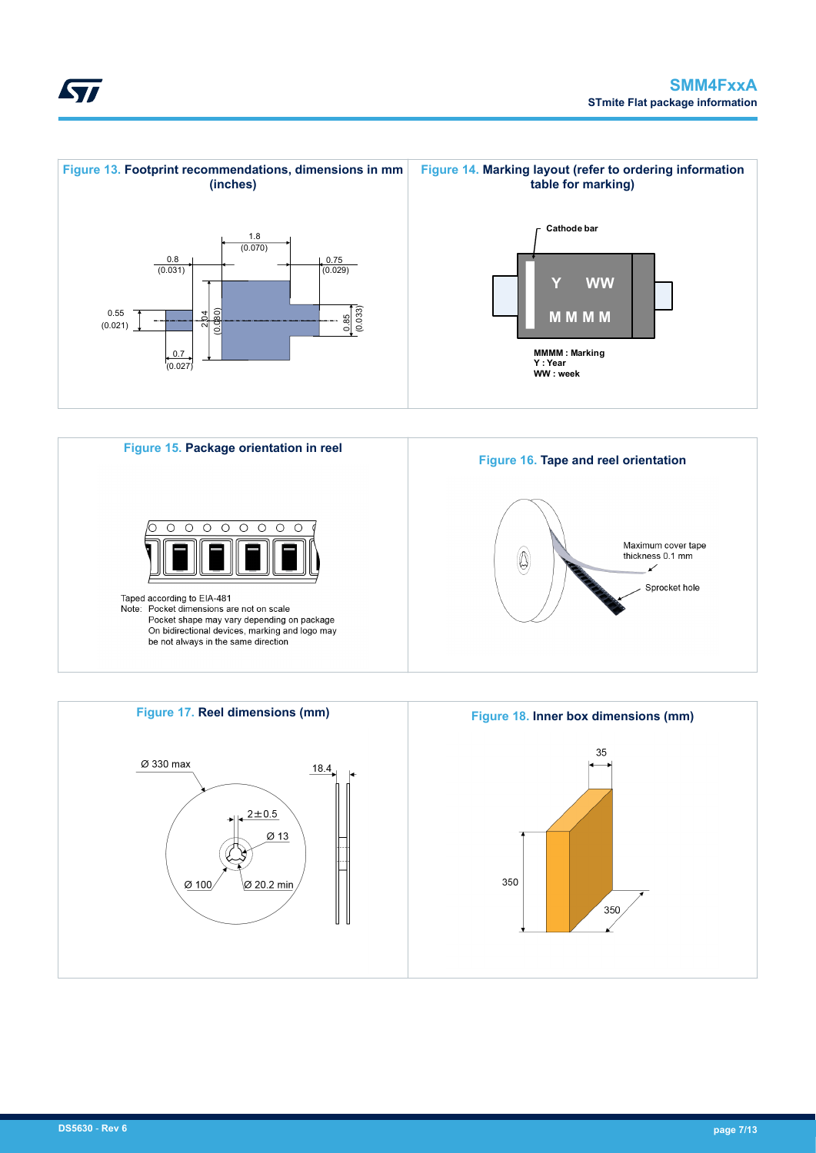





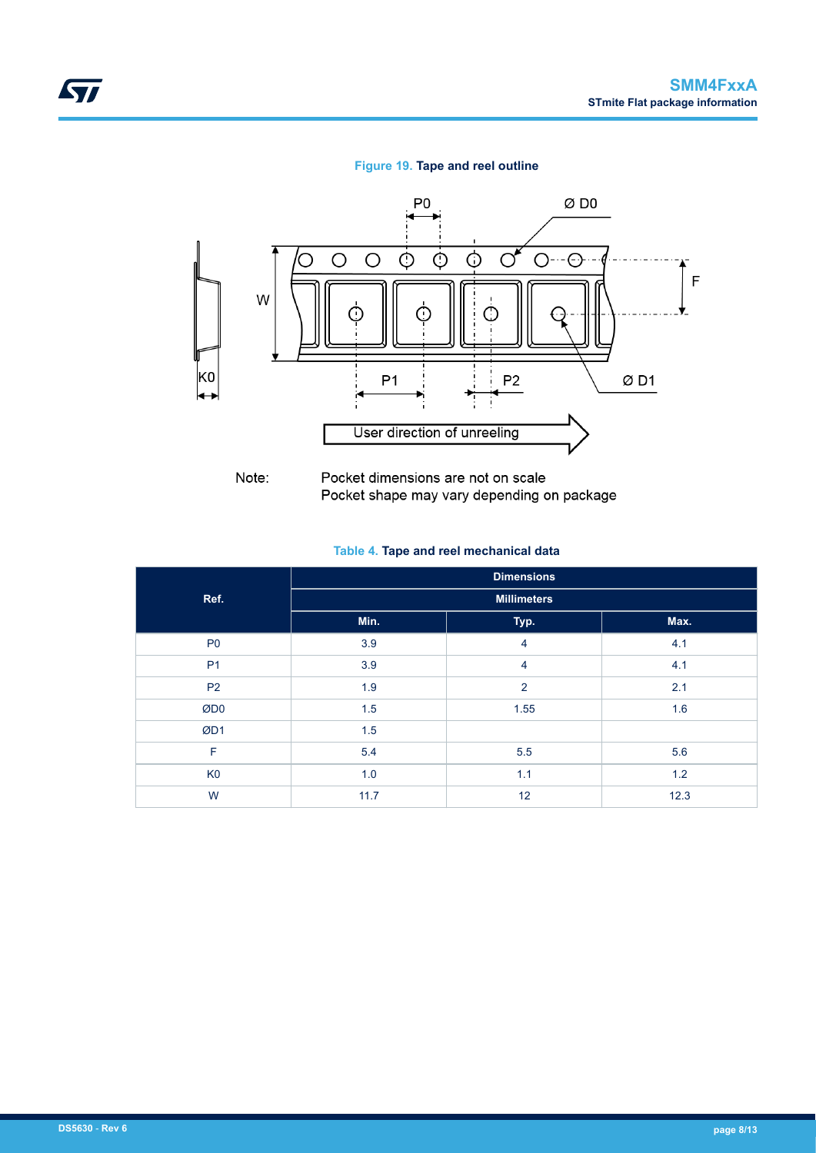#### **Figure 19. Tape and reel outline**



Pocket dimensions are not on scale Pocket shape may vary depending on package

#### **Table 4. Tape and reel mechanical data**

|                | <b>Dimensions</b>  |      |      |  |  |  |  |  |
|----------------|--------------------|------|------|--|--|--|--|--|
| Ref.           | <b>Millimeters</b> |      |      |  |  |  |  |  |
|                | Min.               | Typ. | Max. |  |  |  |  |  |
| P <sub>0</sub> | 3.9                | 4    | 4.1  |  |  |  |  |  |
| P <sub>1</sub> | 3.9                | 4    | 4.1  |  |  |  |  |  |
| <b>P2</b>      | 1.9                | 2    | 2.1  |  |  |  |  |  |
| ØDO            | 1.5                | 1.55 | 1.6  |  |  |  |  |  |
| ØD1            | 1.5                |      |      |  |  |  |  |  |
| F              | 5.4                | 5.5  | 5.6  |  |  |  |  |  |
| K <sub>0</sub> | 1.0                | 1.1  | 1.2  |  |  |  |  |  |
| W              | 11.7               | 12   | 12.3 |  |  |  |  |  |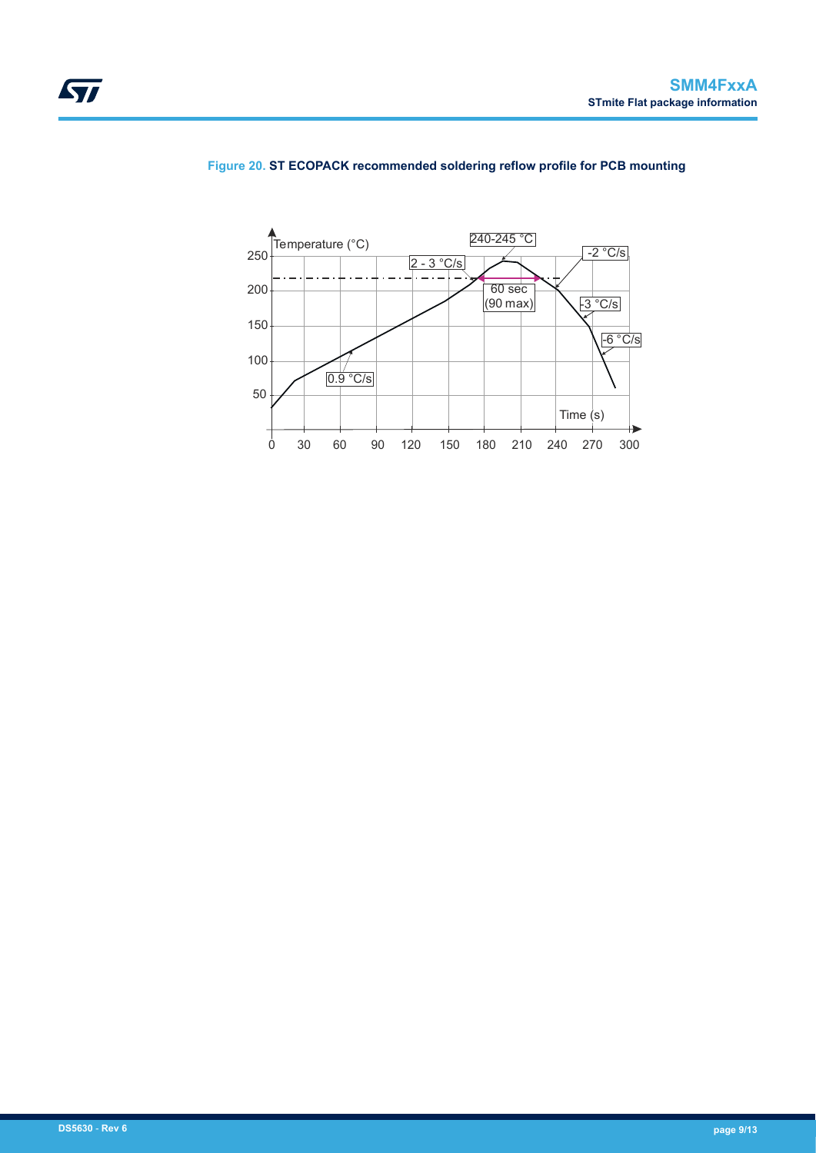![](_page_8_Figure_1.jpeg)

#### **Figure 20. ST ECOPACK recommended soldering reflow profile for PCB mounting**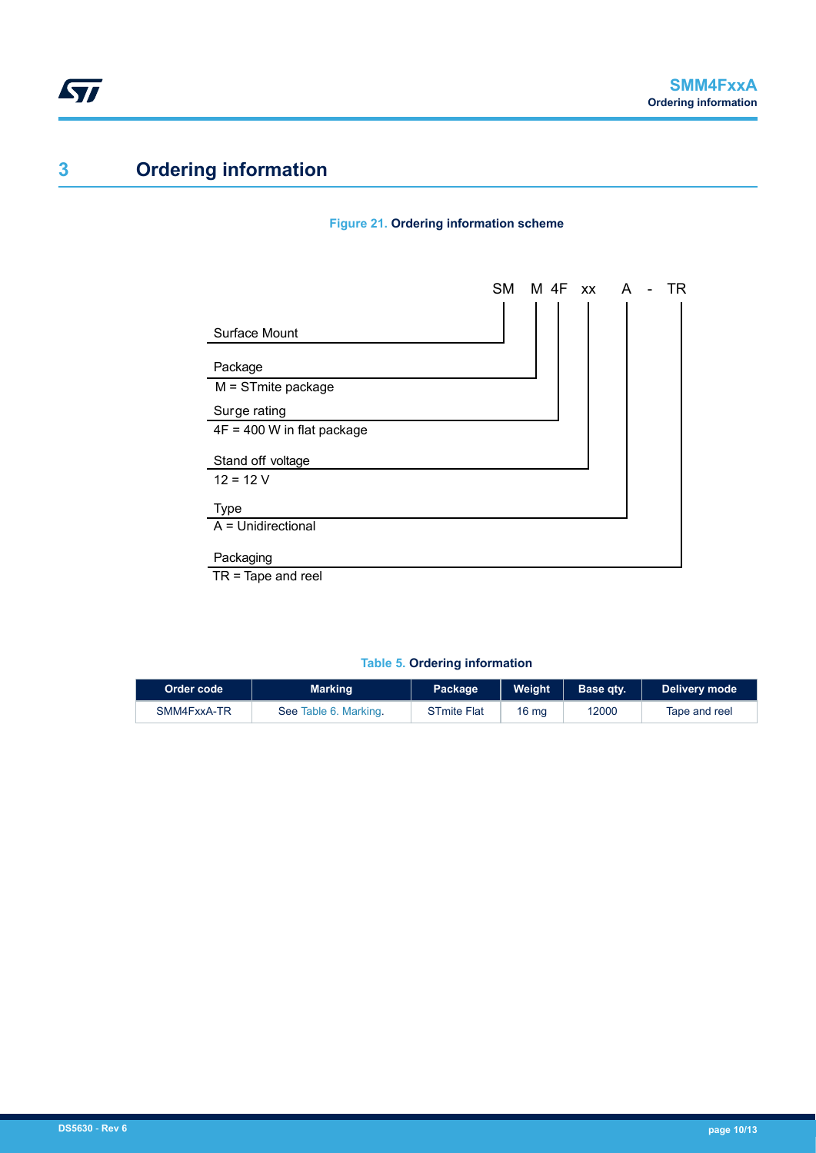# **3 Ordering information**

#### **Figure 21. Ordering information scheme**

![](_page_9_Figure_4.jpeg)

TR = Tape and reel

#### **Table 5. Ordering information**

| Order code  | Marking               | Package            | <b>Weight</b>    | Base qty. | Delivery mode |
|-------------|-----------------------|--------------------|------------------|-----------|---------------|
| SMM4FxxA-TR | See Table 6, Marking. | <b>STmite Flat</b> | 16 <sub>mg</sub> | 12000     | Tape and reel |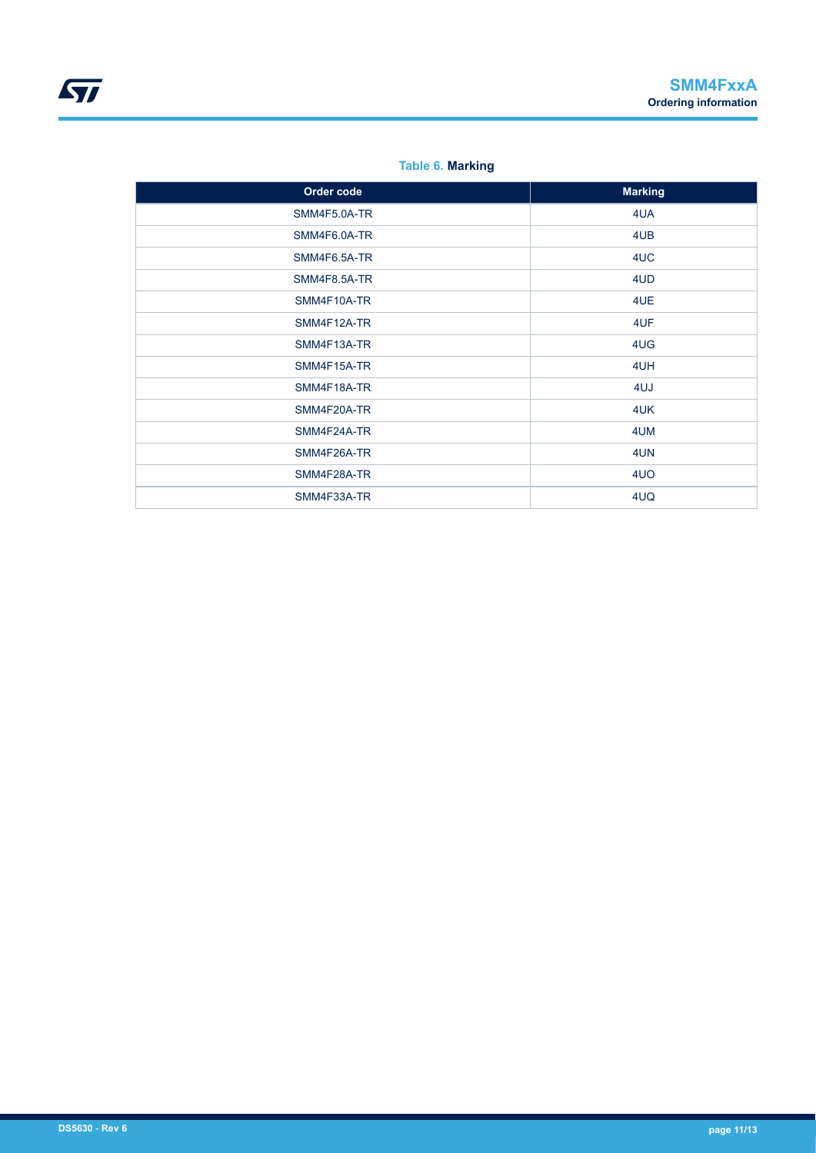#### **Table 6. Marking**

<span id="page-10-0"></span>

| Order code   | <b>Marking</b> |
|--------------|----------------|
| SMM4F5.0A-TR | 4UA            |
| SMM4F6.0A-TR | 4UB            |
| SMM4F6.5A-TR | 4UC            |
| SMM4F8.5A-TR | 4UD            |
| SMM4F10A-TR  | 4UE            |
| SMM4F12A-TR  | 4UF            |
| SMM4F13A-TR  | 4UG            |
| SMM4F15A-TR  | 4UH            |
| SMM4F18A-TR  | 4UJ            |
| SMM4F20A-TR  | 4UK            |
| SMM4F24A-TR  | 4UM            |
| SMM4F26A-TR  | 4UN            |
| SMM4F28A-TR  | 4UO            |
| SMM4F33A-TR  | 4UQ            |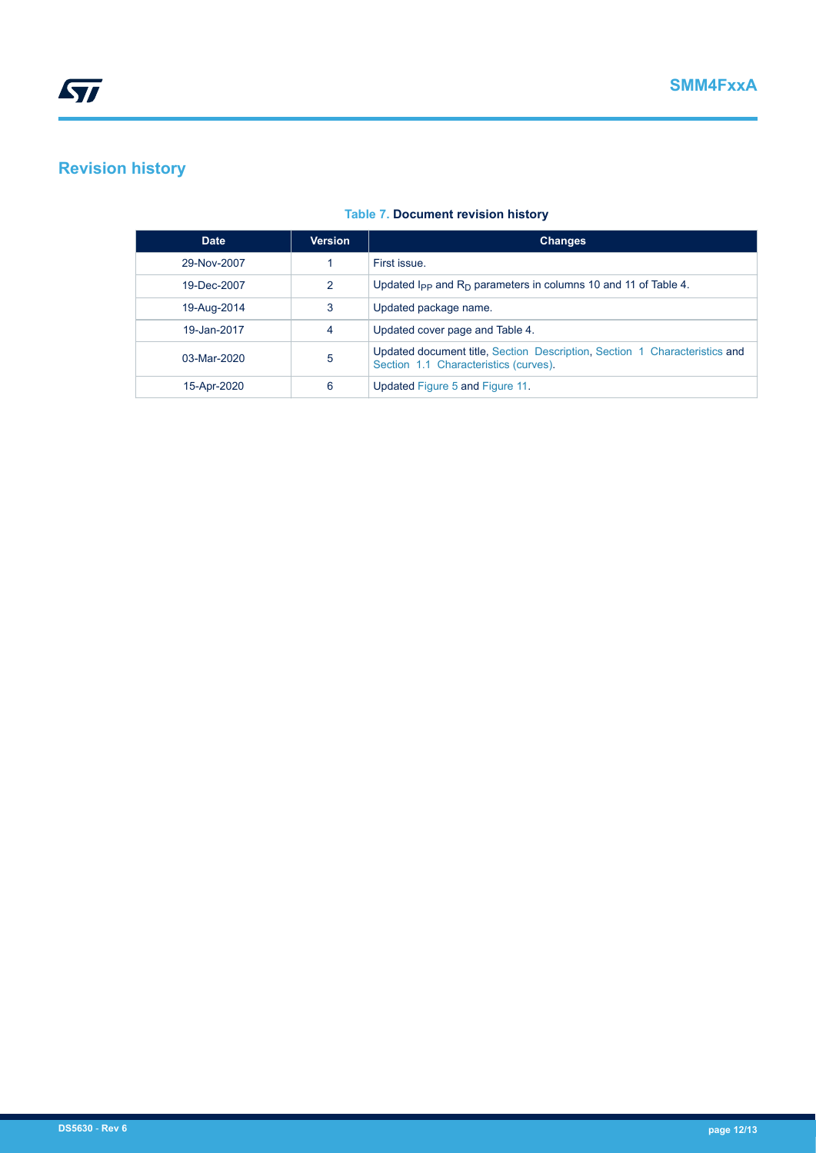# **Revision history**

| <b>Date</b>   | <b>Version</b> | <b>Changes</b>                                                                                                      |
|---------------|----------------|---------------------------------------------------------------------------------------------------------------------|
| 29-Nov-2007   |                | First issue                                                                                                         |
| 19-Dec-2007   | $\mathcal{P}$  | Updated $I_{PP}$ and $R_D$ parameters in columns 10 and 11 of Table 4.                                              |
| 19-Aug-2014   | 3              | Updated package name.                                                                                               |
| 19-Jan-2017   | 4              | Updated cover page and Table 4.                                                                                     |
| $03-Mar-2020$ | 5              | Updated document title, Section Description, Section 1 Characteristics and<br>Section 1.1 Characteristics (curves). |
| 15-Apr-2020   | 6              | Updated Figure 5 and Figure 11.                                                                                     |

#### **Table 7. Document revision history**